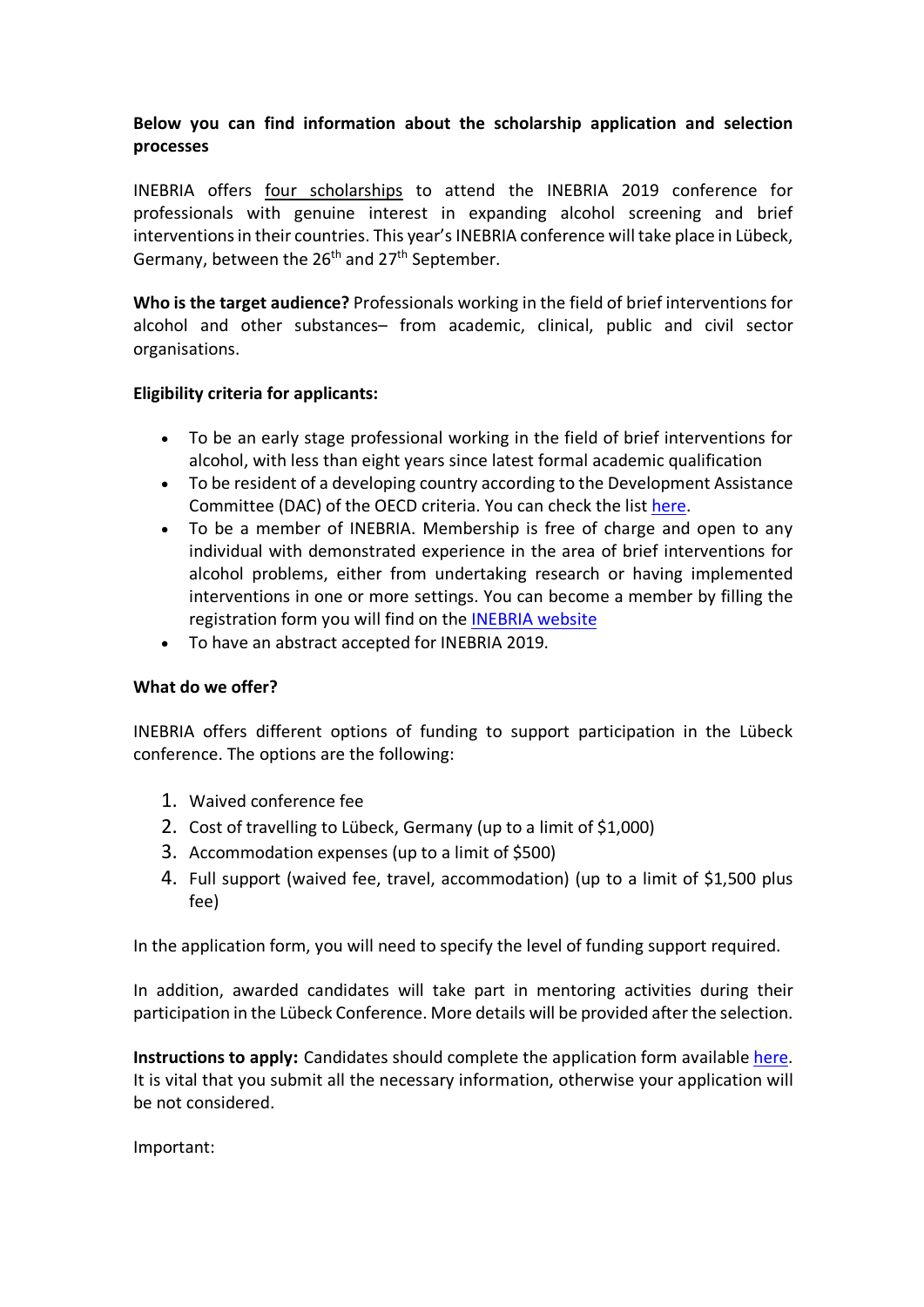# **Below you can find information about the scholarship application and selection processes**

INEBRIA offers four scholarships to attend the INEBRIA 2019 conference for professionals with genuine interest in expanding alcohol screening and brief interventions in their countries. This year's INEBRIA conference will take place in Lübeck, Germany, between the  $26<sup>th</sup>$  and  $27<sup>th</sup>$  September.

**Who is the target audience?** Professionals working in the field of brief interventions for alcohol and other substances– from academic, clinical, public and civil sector organisations.

## **Eligibility criteria for applicants:**

- To be an early stage professional working in the field of brief interventions for alcohol, with less than eight years since latest formal academic qualification
- To be resident of a developing country according to the Development Assistance Committee (DAC) of the OECD criteria. You can check the list here.
- To be a member of INEBRIA. Membership is free of charge and open to any individual with demonstrated experience in the area of brief interventions for alcohol problems, either from undertaking research or having implemented interventions in one or more settings. You can become a member by filling the registration form you will find on the INEBRIA website
- To have an abstract accepted for INEBRIA 2019.

## **What do we offer?**

INEBRIA offers different options of funding to support participation in the Lübeck conference. The options are the following:

- 1. Waived conference fee
- 2. Cost of travelling to Lübeck, Germany (up to a limit of \$1,000)
- 3. Accommodation expenses (up to a limit of \$500)
- 4. Full support (waived fee, travel, accommodation) (up to a limit of \$1,500 plus fee)

In the application form, you will need to specify the level of funding support required.

In addition, awarded candidates will take part in mentoring activities during their participation in the Lübeck Conference. More details will be provided after the selection.

**Instructions to apply:** Candidates should complete the application form available here. It is vital that you submit all the necessary information, otherwise your application will be not considered.

Important: